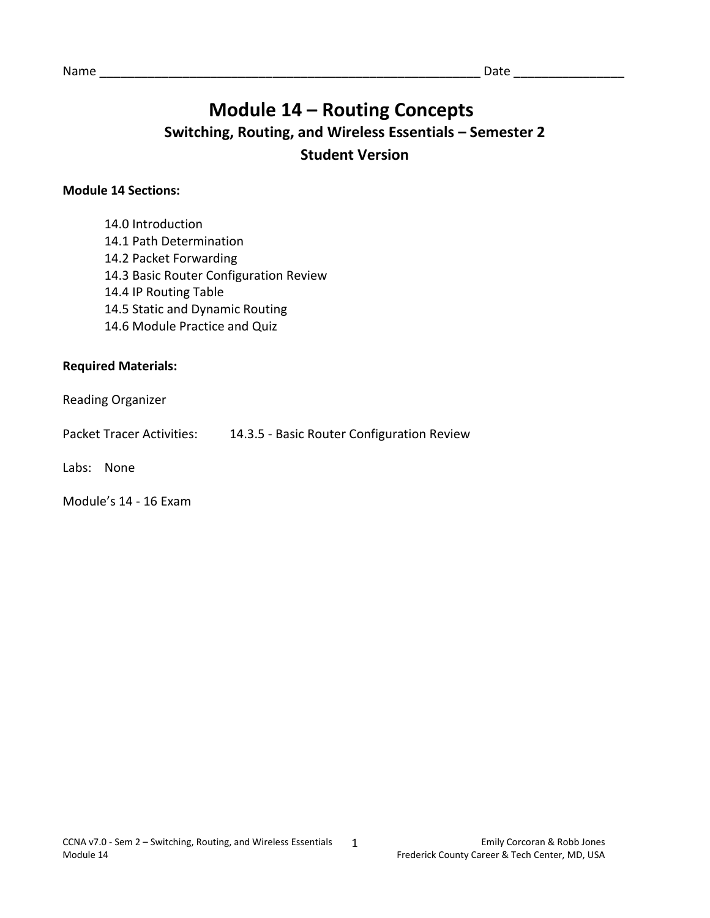# **Module 14 – Routing Concepts Switching, Routing, and Wireless Essentials – Semester 2 Student Version**

#### **Module 14 Sections:**

14.0 Introduction 14.1 Path Determination 14.2 Packet Forwarding 14.3 Basic Router Configuration Review 14.4 IP Routing Table 14.5 Static and Dynamic Routing 14.6 Module Practice and Quiz

#### **Required Materials:**

Reading Organizer

Packet Tracer Activities: 14.3.5 - Basic Router Configuration Review

Labs: None

Module's 14 - 16 Exam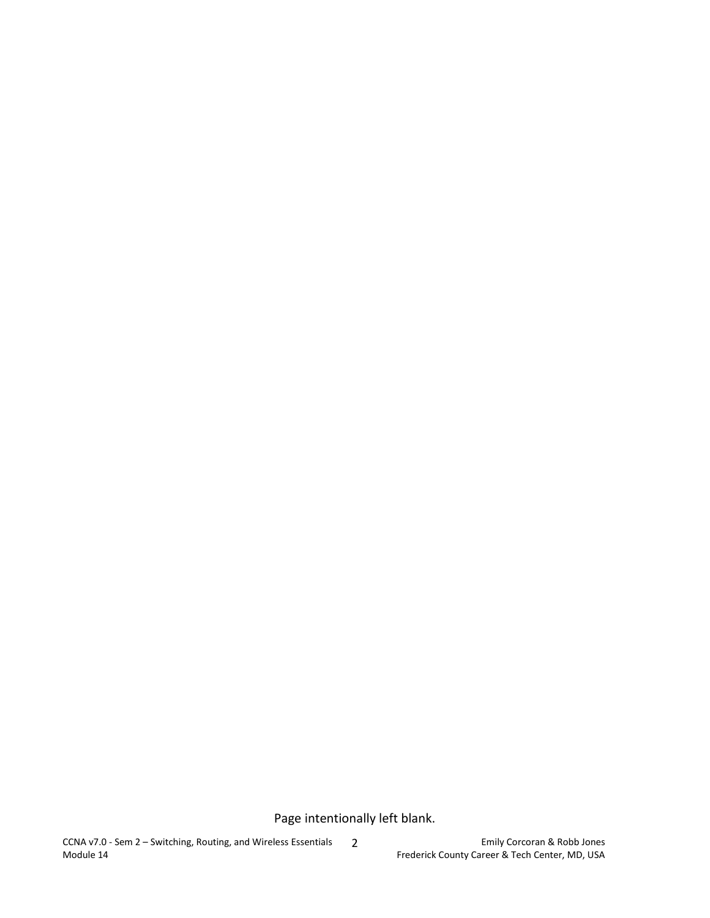Page intentionally left blank.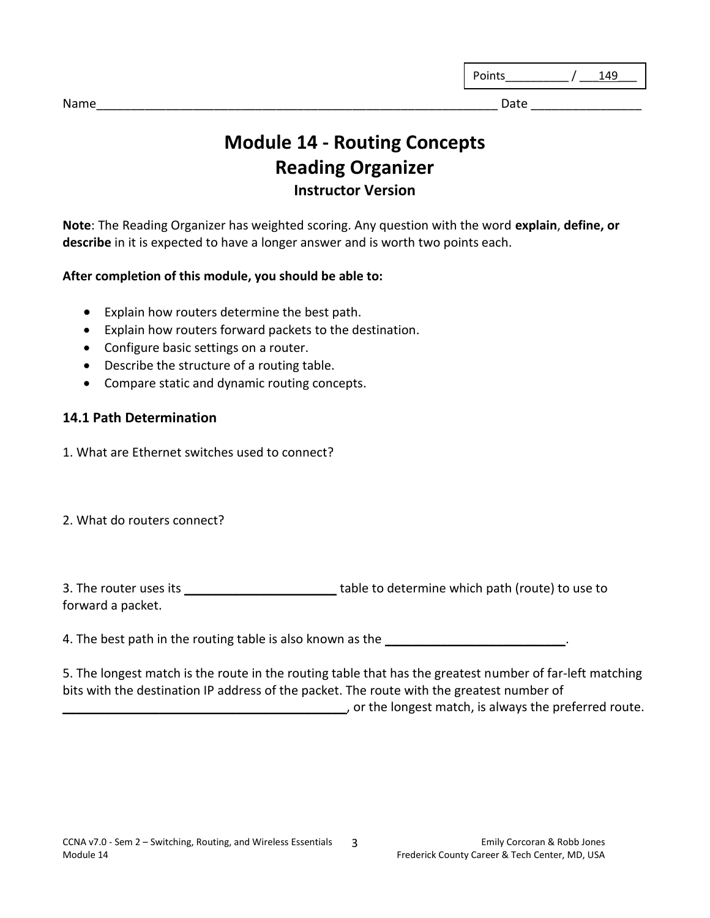| Points | 10<br>∸ |
|--------|---------|
|--------|---------|

Name\_\_\_\_\_\_\_\_\_\_\_\_\_\_\_\_\_\_\_\_\_\_\_\_\_\_\_\_\_\_\_\_\_\_\_\_\_\_\_\_\_\_\_\_\_\_\_\_\_\_\_\_\_\_\_\_\_\_ Date \_\_\_\_\_\_\_\_\_\_\_\_\_\_\_\_

# **Module 14 - Routing Concepts Reading Organizer Instructor Version**

**Note**: The Reading Organizer has weighted scoring. Any question with the word **explain**, **define, or describe** in it is expected to have a longer answer and is worth two points each.

### **After completion of this module, you should be able to:**

- Explain how routers determine the best path.
- Explain how routers forward packets to the destination.
- Configure basic settings on a router.
- Describe the structure of a routing table.
- Compare static and dynamic routing concepts.

# **14.1 Path Determination**

1. What are Ethernet switches used to connect?

|  |  | 2. What do routers connect? |
|--|--|-----------------------------|
|  |  |                             |

| 3. The router uses its | table to determine which path (route) to use to |
|------------------------|-------------------------------------------------|
| forward a packet.      |                                                 |

4. The best path in the routing table is also known as the \_\_\_\_\_\_\_\_\_\_\_\_\_\_\_\_\_\_\_\_\_\_

5. The longest match is the route in the routing table that has the greatest number of far-left matching bits with the destination IP address of the packet. The route with the greatest number of

\_\_\_\_\_\_\_\_\_\_\_\_\_\_\_\_\_\_\_\_\_\_\_\_\_\_\_\_\_\_\_\_\_\_\_\_\_\_\_\_\_, or the longest match, is always the preferred route.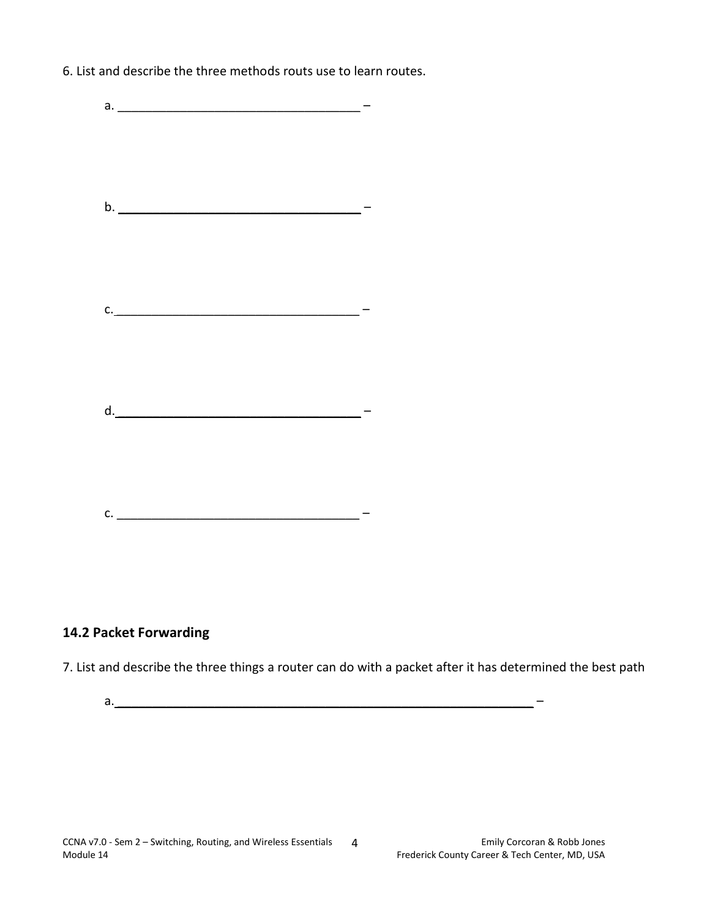6. List and describe the three methods routs use to learn routes.

| c.                            |  |
|-------------------------------|--|
|                               |  |
|                               |  |
|                               |  |
|                               |  |
|                               |  |
| d.                            |  |
|                               |  |
|                               |  |
|                               |  |
|                               |  |
|                               |  |
| $c.$ $\overline{\phantom{a}}$ |  |

# **14.2 Packet Forwarding**

7. List and describe the three things a router can do with a packet after it has determined the best path

a. \_\_\_\_\_\_\_\_\_\_\_\_\_\_\_\_\_\_\_\_\_\_\_\_\_\_\_\_\_\_\_\_\_\_\_\_\_\_\_\_\_\_\_\_\_\_\_\_\_\_\_\_\_\_\_\_\_\_\_\_ –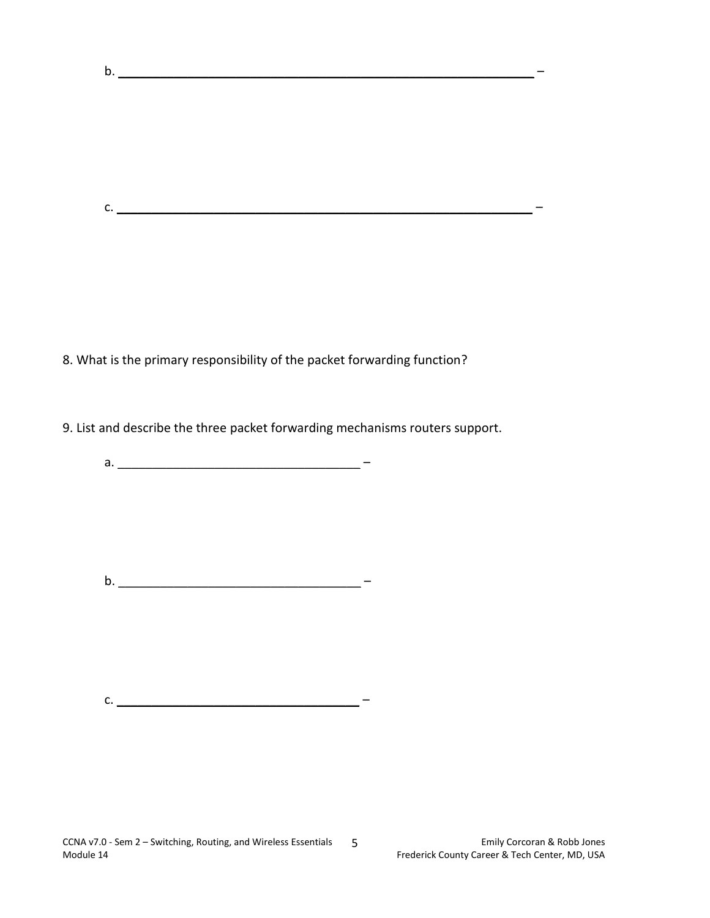c. \_\_\_\_\_\_\_\_\_\_\_\_\_\_\_\_\_\_\_\_\_\_\_\_\_\_\_\_\_\_\_\_\_\_\_\_\_\_\_\_\_\_\_\_\_\_\_\_\_\_\_\_\_\_\_\_\_\_\_\_ –

 $\mathsf b.$ 

8. What is the primary responsibility of the packet forwarding function?

9. List and describe the three packet forwarding mechanisms routers support.

a. \_\_\_\_\_\_\_\_\_\_\_\_\_\_\_\_\_\_\_\_\_\_\_\_\_\_\_\_\_\_\_\_\_\_\_ – b. \_\_\_\_\_\_\_\_\_\_\_\_\_\_\_\_\_\_\_\_\_\_\_\_\_\_\_\_\_\_\_\_\_\_\_ – c. \_\_\_\_\_\_\_\_\_\_\_\_\_\_\_\_\_\_\_\_\_\_\_\_\_\_\_\_\_\_\_\_\_\_\_ –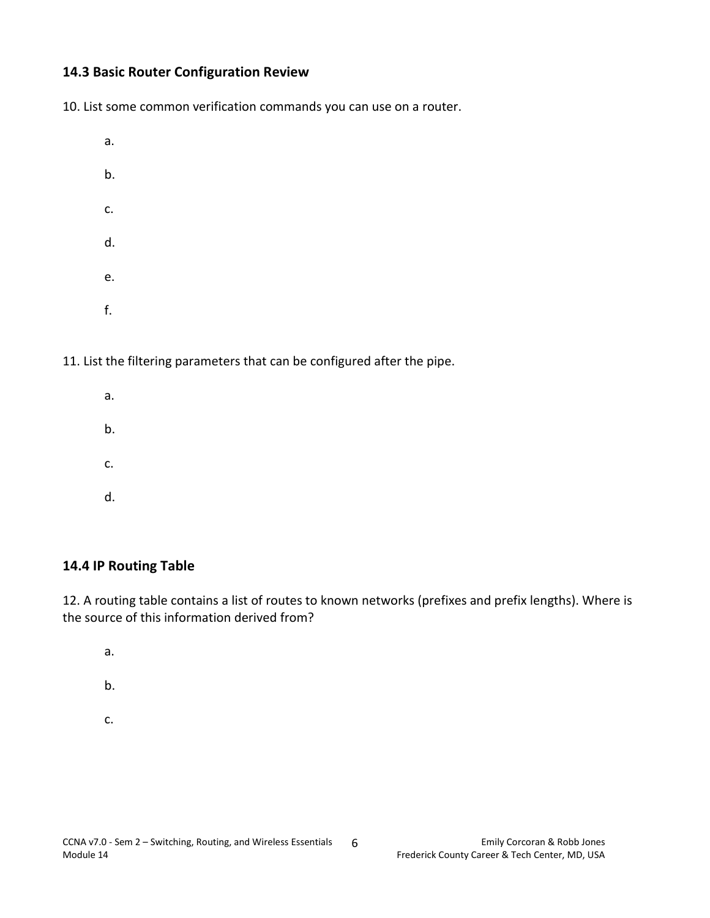## **14.3 Basic Router Configuration Review**

10. List some common verification commands you can use on a router.

a. b. c. d. e. f.

11. List the filtering parameters that can be configured after the pipe.

a. b. c. d.

#### **14.4 IP Routing Table**

12. A routing table contains a list of routes to known networks (prefixes and prefix lengths). Where is the source of this information derived from?

a. b. c.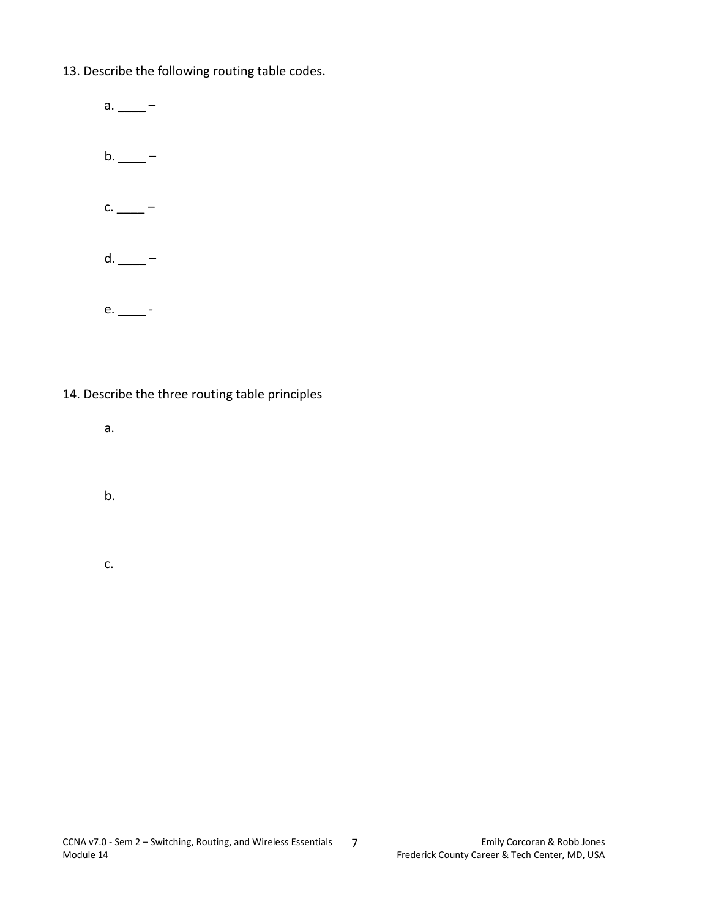13. Describe the following routing table codes.

 $a. \_ -$  –  $b.$   $-$  –  $c.$   $\_\_$  – d.  $\qquad$  $e.$   $-$  -

### 14. Describe the three routing table principles

- a.
- 
- b.

c.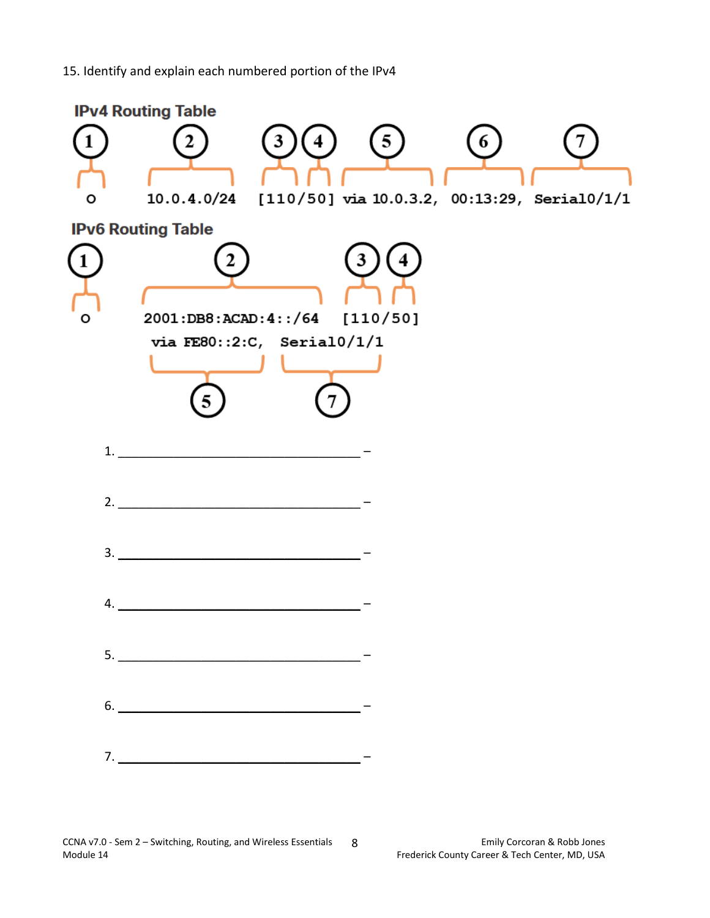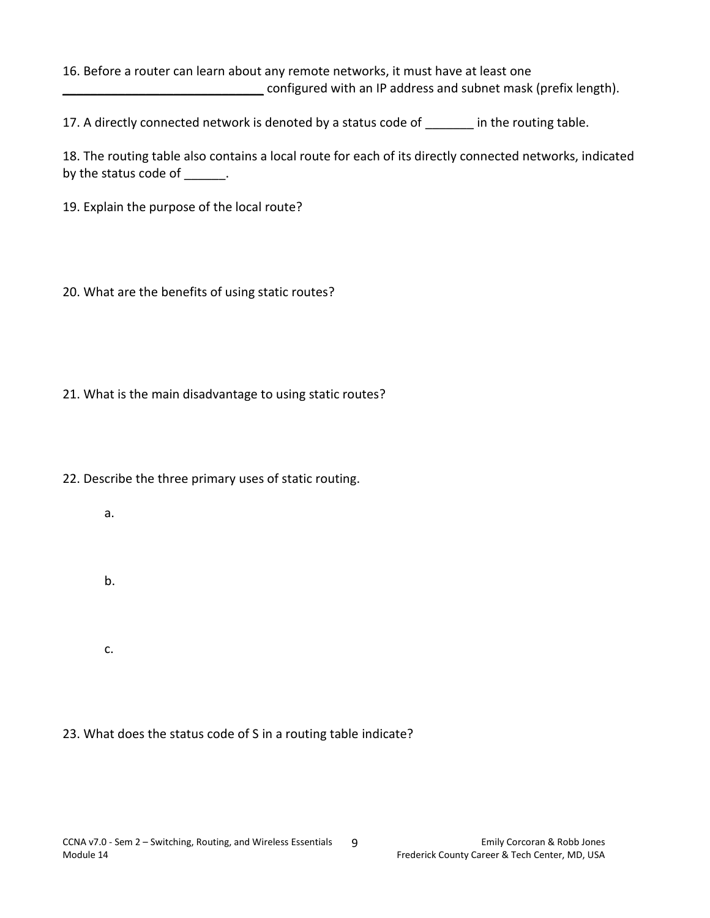16. Before a router can learn about any remote networks, it must have at least one \_\_\_\_\_\_\_\_\_\_\_\_\_\_\_\_\_\_\_\_\_\_\_\_\_\_\_\_\_ configured with an IP address and subnet mask (prefix length).

17. A directly connected network is denoted by a status code of \_\_\_\_\_\_ in the routing table.

18. The routing table also contains a local route for each of its directly connected networks, indicated by the status code of  $\qquad \qquad$ .

19. Explain the purpose of the local route?

20. What are the benefits of using static routes?

21. What is the main disadvantage to using static routes?

22. Describe the three primary uses of static routing.

a.

b.

c.

23. What does the status code of S in a routing table indicate?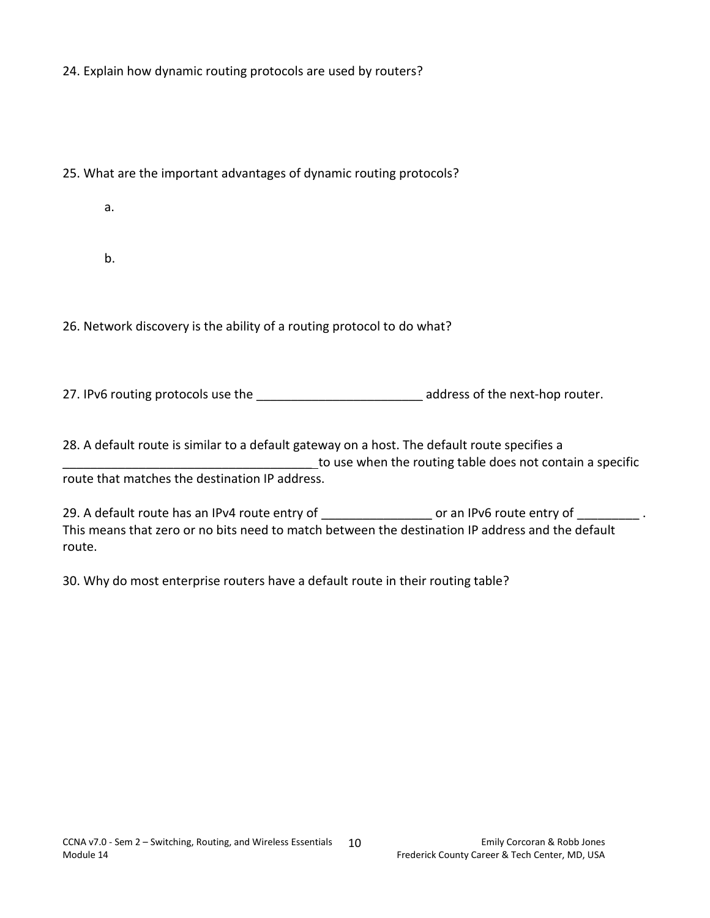24. Explain how dynamic routing protocols are used by routers?

### 25. What are the important advantages of dynamic routing protocols?

- a.
- b.

26. Network discovery is the ability of a routing protocol to do what?

27. IPv6 routing protocols use the \_\_\_\_\_\_\_\_\_\_\_\_\_\_\_\_\_\_\_\_\_\_\_\_\_\_\_\_\_\_\_\_\_ address of the next-hop router.

28. A default route is similar to a default gateway on a host. The default route specifies a Louse when the routing table does not contain a specific route that matches the destination IP address.

29. A default route has an IPv4 route entry of \_\_\_\_\_\_\_\_\_\_\_\_\_\_\_\_\_\_ or an IPv6 route entry of \_\_\_\_\_\_\_\_\_\_\_. This means that zero or no bits need to match between the destination IP address and the default route.

30. Why do most enterprise routers have a default route in their routing table?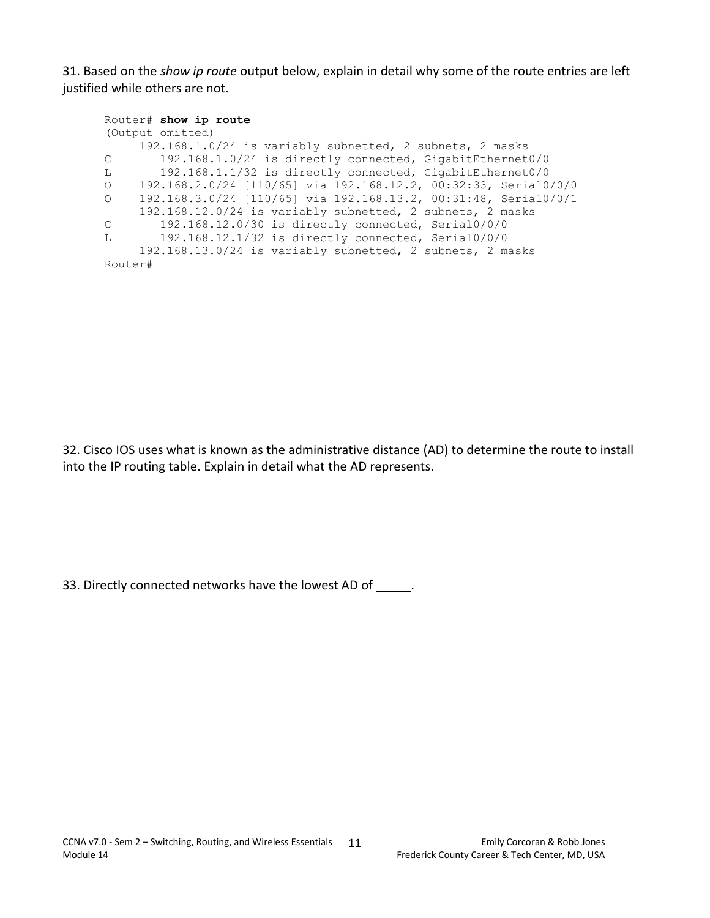31. Based on the *show ip route* output below, explain in detail why some of the route entries are left justified while others are not.

```
Router# show ip route
(Output omitted)
     192.168.1.0/24 is variably subnetted, 2 subnets, 2 masks
C 192.168.1.0/24 is directly connected, GigabitEthernet0/0
L 192.168.1.1/32 is directly connected, GigabitEthernet0/0
O 192.168.2.0/24 [110/65] via 192.168.12.2, 00:32:33, Serial0/0/0
O 192.168.3.0/24 [110/65] via 192.168.13.2, 00:31:48, Serial0/0/1
     192.168.12.0/24 is variably subnetted, 2 subnets, 2 masks
C 192.168.12.0/30 is directly connected, Serial0/0/0
L 192.168.12.1/32 is directly connected, Serial0/0/0
     192.168.13.0/24 is variably subnetted, 2 subnets, 2 masks
Router#
```
32. Cisco IOS uses what is known as the administrative distance (AD) to determine the route to install into the IP routing table. Explain in detail what the AD represents.

33. Directly connected networks have the lowest AD of \_\_\_\_\_.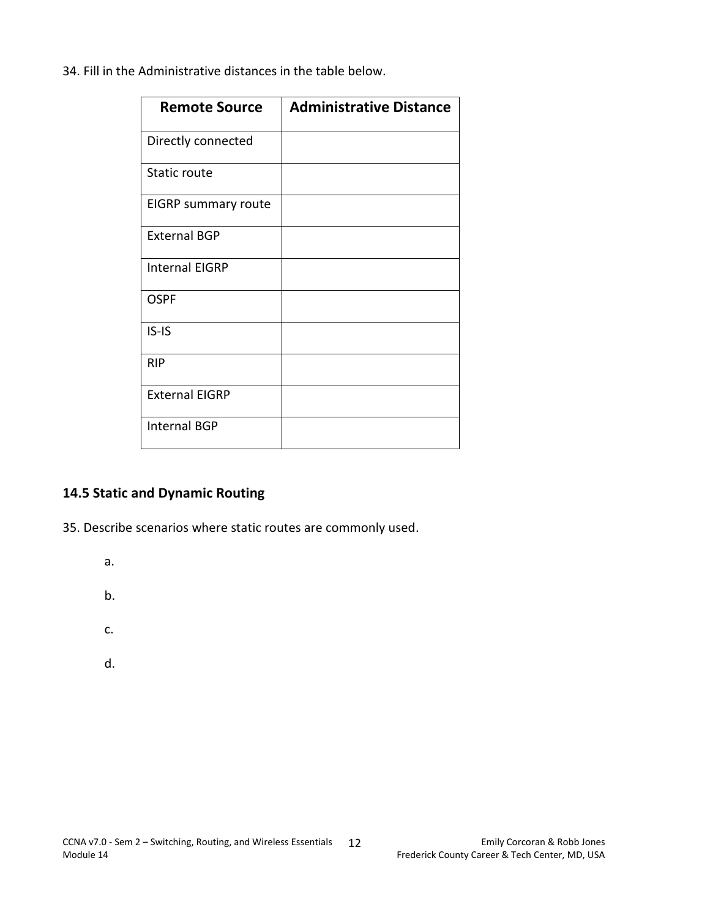34. Fill in the Administrative distances in the table below.

| <b>Remote Source</b>       | <b>Administrative Distance</b> |
|----------------------------|--------------------------------|
| Directly connected         |                                |
| Static route               |                                |
| <b>EIGRP summary route</b> |                                |
| <b>External BGP</b>        |                                |
| <b>Internal EIGRP</b>      |                                |
| <b>OSPF</b>                |                                |
| $IS-IS$                    |                                |
| <b>RIP</b>                 |                                |
| <b>External EIGRP</b>      |                                |
| <b>Internal BGP</b>        |                                |

# **14.5 Static and Dynamic Routing**

35. Describe scenarios where static routes are commonly used.

a.

b.

c.

d.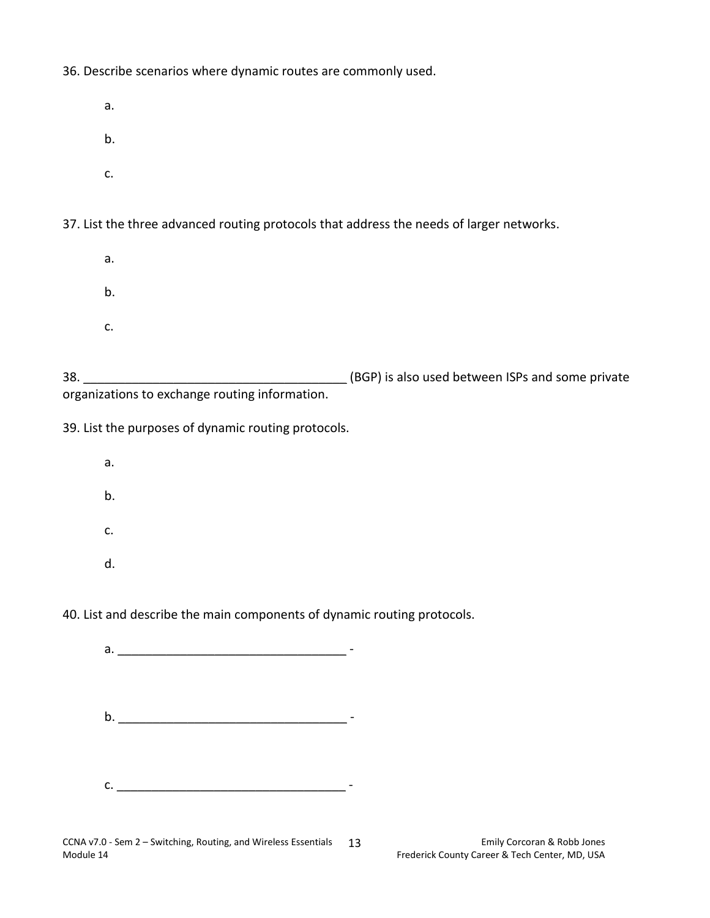36. Describe scenarios where dynamic routes are commonly used.

a. b. c.

37. List the three advanced routing protocols that address the needs of larger networks.

- a. b.
- c.

38. \_\_\_\_\_\_\_\_\_\_\_\_\_\_\_\_\_\_\_\_\_\_\_\_\_\_\_\_\_\_\_\_\_\_\_\_\_\_ (BGP) is also used between ISPs and some private organizations to exchange routing information.

39. List the purposes of dynamic routing protocols.

a. b. c. d.

40. List and describe the main components of dynamic routing protocols.

| b. |  |
|----|--|
|    |  |
|    |  |
|    |  |
|    |  |
|    |  |